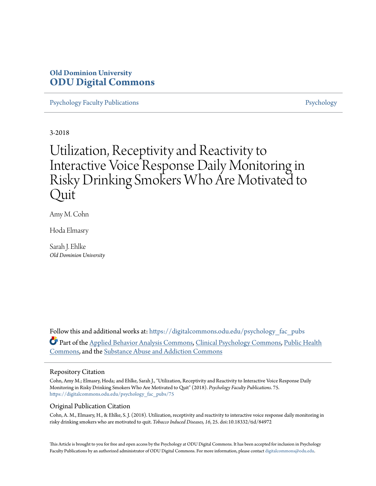## **Old Dominion University [ODU Digital Commons](https://digitalcommons.odu.edu?utm_source=digitalcommons.odu.edu%2Fpsychology_fac_pubs%2F75&utm_medium=PDF&utm_campaign=PDFCoverPages)**

[Psychology Faculty Publications](https://digitalcommons.odu.edu/psychology_fac_pubs?utm_source=digitalcommons.odu.edu%2Fpsychology_fac_pubs%2F75&utm_medium=PDF&utm_campaign=PDFCoverPages) **[Psychology](https://digitalcommons.odu.edu/psychology?utm_source=digitalcommons.odu.edu%2Fpsychology_fac_pubs%2F75&utm_medium=PDF&utm_campaign=PDFCoverPages)** Psychology

3-2018

# Utilization, Receptivity and Reactivity to Interactive Voice Response Daily Monitoring in Risky Drinking Smokers Who Are Motivated to ) uit

Amy M. Cohn

Hoda Elmasry

Sarah J. Ehlke *Old Dominion University*

Follow this and additional works at: [https://digitalcommons.odu.edu/psychology\\_fac\\_pubs](https://digitalcommons.odu.edu/psychology_fac_pubs?utm_source=digitalcommons.odu.edu%2Fpsychology_fac_pubs%2F75&utm_medium=PDF&utm_campaign=PDFCoverPages) Part of the [Applied Behavior Analysis Commons](http://network.bepress.com/hgg/discipline/1235?utm_source=digitalcommons.odu.edu%2Fpsychology_fac_pubs%2F75&utm_medium=PDF&utm_campaign=PDFCoverPages), [Clinical Psychology Commons,](http://network.bepress.com/hgg/discipline/406?utm_source=digitalcommons.odu.edu%2Fpsychology_fac_pubs%2F75&utm_medium=PDF&utm_campaign=PDFCoverPages) [Public Health](http://network.bepress.com/hgg/discipline/738?utm_source=digitalcommons.odu.edu%2Fpsychology_fac_pubs%2F75&utm_medium=PDF&utm_campaign=PDFCoverPages) [Commons,](http://network.bepress.com/hgg/discipline/738?utm_source=digitalcommons.odu.edu%2Fpsychology_fac_pubs%2F75&utm_medium=PDF&utm_campaign=PDFCoverPages) and the [Substance Abuse and Addiction Commons](http://network.bepress.com/hgg/discipline/710?utm_source=digitalcommons.odu.edu%2Fpsychology_fac_pubs%2F75&utm_medium=PDF&utm_campaign=PDFCoverPages)

#### Repository Citation

Cohn, Amy M.; Elmasry, Hoda; and Ehlke, Sarah J., "Utilization, Receptivity and Reactivity to Interactive Voice Response Daily Monitoring in Risky Drinking Smokers Who Are Motivated to Quit" (2018). *Psychology Faculty Publications*. 75. [https://digitalcommons.odu.edu/psychology\\_fac\\_pubs/75](https://digitalcommons.odu.edu/psychology_fac_pubs/75?utm_source=digitalcommons.odu.edu%2Fpsychology_fac_pubs%2F75&utm_medium=PDF&utm_campaign=PDFCoverPages)

## Original Publication Citation

Cohn, A. M., Elmasry, H., & Ehlke, S. J. (2018). Utilization, receptivity and reactivity to interactive voice response daily monitoring in risky drinking smokers who are motivated to quit. *Tobacco Induced Diseases, 16*, 25. doi:10.18332/tid/84972

This Article is brought to you for free and open access by the Psychology at ODU Digital Commons. It has been accepted for inclusion in Psychology Faculty Publications by an authorized administrator of ODU Digital Commons. For more information, please contact [digitalcommons@odu.edu.](mailto:digitalcommons@odu.edu)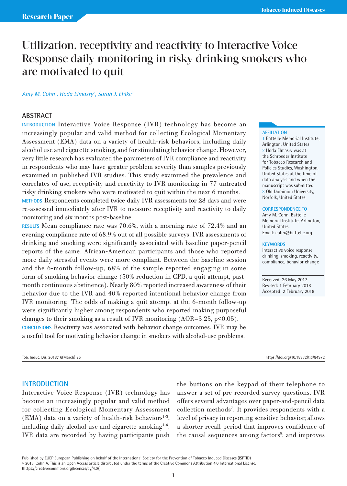## Utilization, receptivity and reactivity to Interactive Voice Response daily monitoring in risky drinking smokers who are motivated to quit

#### *Amy M. Cohn1 , Hoda Elmasry2 , Sarah J. Ehlke3*

#### **ABSTRACT**

**INTRODUCTION** Interactive Voice Response (IVR) technology has become an increasingly popular and valid method for collecting Ecological Momentary Assessment (EMA) data on a variety of health-risk behaviors, including daily alcohol use and cigarette smoking, and for stimulating behavior change. However, very little research has evaluated the parameters of IVR compliance and reactivity in respondents who may have greater problem severity than samples previously examined in published IVR studies. This study examined the prevalence and correlates of use, receptivity and reactivity to IVR monitoring in 77 untreated risky drinking smokers who were motivated to quit within the next 6 months.

**METHODS** Respondents completed twice daily IVR assessments for 28 days and were re-assessed immediately after IVR to measure receptivity and reactivity to daily monitoring and six months post-baseline.

**RESULTS** Mean compliance rate was 70.6%, with a morning rate of 72.4% and an evening compliance rate of 68.9% out of all possible surveys. IVR assessments of drinking and smoking were significantly associated with baseline paper-pencil reports of the same. African-American participants and those who reported more daily stressful events were more compliant. Between the baseline session and the 6-month follow-up, 68% of the sample reported engaging in some form of smoking behavior change (50% reduction in CPD, a quit attempt, pastmonth continuous abstinence). Nearly 80% reported increased awareness of their behavior due to the IVR and 40% reported intentional behavior change from IVR monitoring. The odds of making a quit attempt at the 6-month follow-up were significantly higher among respondents who reported making purposeful changes to their smoking as a result of IVR monitoring  $(AOR=3.25, p<0.05)$ . **CONCLUSIONS** Reactivity was associated with behavior change outcomes. IVR may be a useful tool for motivating behavior change in smokers with alcohol-use problems.

## **AFFILIATION**

1 Battelle Memorial Institute, Arlington, United States 2 Hoda Elmasry was at the Schroeder Institute for Tobacco Research and Policies Studies, Washington, United States at the time of data analysis and when the manuscript was submitted 3 Old Dominion University, Norfolk, United States

#### **CORRESPONDENCE TO**

Amy M. Cohn. Battelle Memorial Institute, Arlington, United States. Email: cohn@battelle.org

#### **KEYWORDS**

interactive voice response, drinking, smoking, reactivity, compliance, behavior change

Received: 26 May 2017 Revised: 1 February 2018 Accepted: 2 February 2018

Tob. Induc. Dis. 2018;16(March):25 https://doi.org/10.18332/tid/84972

#### **INTRODUCTION**

Interactive Voice Response (IVR) technology has become an increasingly popular and valid method for collecting Ecological Momentary Assessment (EMA) data on a variety of health-risk behaviors $1-3$ , including daily alcohol use and cigarette smoking<sup>4-6</sup>. IVR data are recorded by having participants push

the buttons on the keypad of their telephone to answer a set of pre-recorded survey questions. IVR offers several advantages over paper-and-pencil data collection methods<sup>7</sup>. It provides respondents with a level of privacy in reporting sensitive behavior; allows a shorter recall period that improves confidence of the causal sequences among factors<sup>8</sup>; and improves

Published by EUEP European Publishing on behalf of the International Society for the Prevention of Tobacco Induced Diseases (ISPTID) © 2018. Cohn A. This is an Open Access article distributed under the terms of the Creative Commons Attribution 4.0 International License. (https://creativecommons.org/licenses/by/4.0/)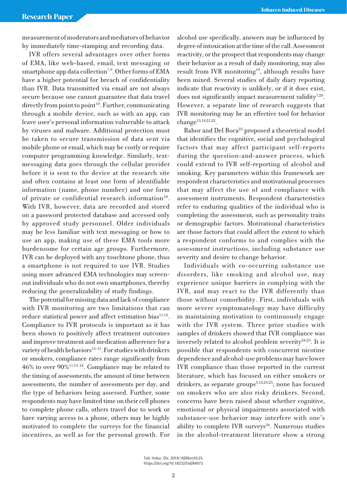measurement of moderators and mediators of behavior by immediately time-stamping and recording data.

IVR offers several advantages over other forms of EMA, like web-based, email, text messaging or smartphone app data collection<sup>7,9</sup>. Other forms of EMA have a higher potential for breach of confidentiality than IVR. Data transmitted via email are not always secure because one cannot guarantee that data travel directly from point to point<sup>10</sup>. Further, communicating through a mobile device, such as with an app, can leave user's personal information vulnerable to attack by viruses and malware. Additional protection must be taken to secure transmission of data sent via mobile phone or email, which may be costly or require computer programming knowledge. Similarly, textmessaging data goes through the cellular provider before it is sent to the device at the research site and often contains at least one form of identifiable information (name, phone number) and one form of private or confidential research information<sup>10</sup>. With IVR, however, data are recorded and stored on a password protected database and accessed only by approved study personnel. Older individuals may be less familiar with text messaging or how to use an app, making use of these EMA tools more burdensome for certain age groups. Furthermore, IVR can be deployed with any touchtone phone, thus a smartphone is not required to use IVR. Studies using more advanced EMA technologies may screenout individuals who do not own smartphones, thereby reducing the generalizability of study findings.

The potential for missing data and lack of compliance with IVR monitoring are two limitations that can reduce statistical power and affect estimation bias<sup>11,12</sup>. Compliance to IVR protocols is important as it has been shown to positively affect treatment outcomes and improve treatment and medication adherence for a variety of health behaviors<sup>13-15</sup>. For studies with drinkers or smokers, compliance rates range significantly from 46% to over 90%11,15-18. Compliance may be related to the timing of assessments, the amount of time between assessments, the number of assessments per day, and the type of behaviors being assessed. Further, some respondents may have limited time on their cell phones to complete phone calls, others travel due to work or have varying access to a phone, others may be highly motivated to complete the surveys for the financial incentives, as well as for the personal growth. For alcohol use specifically, answers may be influenced by degree of intoxication at the time of the call. Assessment reactivity, or the prospect that respondents may change their behavior as a result of daily monitoring, may also result from IVR monitoring<sup>19</sup>, although results have been mixed. Several studies of daily diary reporting indicate that reactivity is unlikely, or if it does exist, does not significantly impact measurement validity<sup>7,20</sup>. However, a separate line of research suggests that IVR monitoring may be an effective tool for behavior change<sup>13,14,21,22</sup>.

Babor and Del Boca<sup>23</sup> proposed a theoretical model that identifies the cognitive, social and psychological factors that may affect participant self-reports during the question-and-answer process, which could extend to IVR self-reporting of alcohol and smoking. Key parameters within this framework are respondent characteristics and motivational processes that may affect the use of and compliance with assessment instruments. Respondent characteristics refer to enduring qualities of the individual who is completing the assessment, such as personality traits or demographic factors. Motivational characteristics are those factors that could affect the extent to which a respondent conforms to and complies with the assessment instructions, including substance use severity and desire to change behavior.

Individuals with co-occurring substance use disorders, like smoking and alcohol use, may experience unique barriers in complying with the IVR, and may react to the IVR differently than those without comorbidity. First, individuals with more severe symptomatology may have difficulty in maintaining motivation to continuously engage with the IVR system. Three prior studies with samples of drinkers showed that IVR compliance was inversely related to alcohol problem severity $24.25$ . It is possible that respondents with concurrent nicotine dependence and alcohol-use problems may have lower IVR compliance than those reported in the current literature, which has focused on either smokers or drinkers, as separate groups<sup>5,12,24,25</sup>; none has focused on smokers who are also risky drinkers. Second, concerns have been raised about whether cognitive, emotional or physical impairments associated with substance-use behavior may interfere with one's ability to complete IVR surveys $26$ . Numerous studies in the alcohol-treatment literature show a strong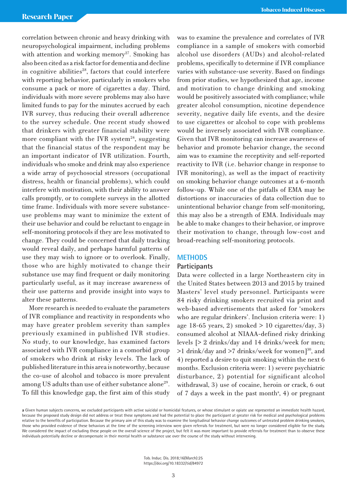correlation between chronic and heavy drinking with neuropsychological impairment, including problems with attention and working memory<sup>27</sup>. Smoking has also been cited as a risk factor for dementia and decline in cognitive abilities $28$ , factors that could interfere with reporting behavior, particularly in smokers who consume a pack or more of cigarettes a day. Third, individuals with more severe problems may also have limited funds to pay for the minutes accrued by each IVR survey, thus reducing their overall adherence to the survey schedule. One recent study showed that drinkers with greater financial stability were more compliant with the IVR system<sup>24</sup>, suggesting that the financial status of the respondent may be an important indicator of IVR utilization. Fourth, individuals who smoke and drink may also experience a wide array of psychosocial stressors (occupational distress, health or financial problems), which could interfere with motivation, with their ability to answer calls promptly, or to complete surveys in the allotted time frame. Individuals with more severe substanceuse problems may want to minimize the extent of their use behavior and could be reluctant to engage in self-monitoring protocols if they are less motivated to change. They could be concerned that daily tracking would reveal daily, and perhaps harmful patterns of use they may wish to ignore or to overlook. Finally, those who are highly motivated to change their substance use may find frequent or daily monitoring particularly useful, as it may increase awareness of their use patterns and provide insight into ways to alter these patterns.

More research is needed to evaluate the parameters of IVR compliance and reactivity in respondents who may have greater problem severity than samples previously examined in published IVR studies. No study, to our knowledge, has examined factors associated with IVR compliance in a comorbid group of smokers who drink at risky levels. The lack of published literature in this area is noteworthy, because the co-use of alcohol and tobacco is more prevalent among US adults than use of either substance alone<sup>29</sup>. To fill this knowledge gap, the first aim of this study

was to examine the prevalence and correlates of IVR compliance in a sample of smokers with comorbid alcohol use disorders (AUDs) and alcohol-related problems, specifically to determine if IVR compliance varies with substance-use severity. Based on findings from prior studies, we hypothesized that age, income and motivation to change drinking and smoking would be positively associated with compliance; while greater alcohol consumption, nicotine dependence severity, negative daily life events, and the desire to use cigarettes or alcohol to cope with problems would be inversely associated with IVR compliance. Given that IVR monitoring can increase awareness of behavior and promote behavior change, the second aim was to examine the receptivity and self-reported reactivity to IVR (i.e. behavior change in response to IVR monitoring), as well as the impact of reactivity on smoking behavior change outcomes at a 6-month follow-up. While one of the pitfalls of EMA may be distortions or inaccuracies of data collection due to unintentional behavior change from self-monitoring, this may also be a strength of EMA. Individuals may be able to make changes to their behavior, or improve their motivation to change, through low-cost and broad-reaching self-monitoring protocols.

#### **METHODS**

#### **Participants**

Data were collected in a large Northeastern city in the United States between 2013 and 2015 by trained Masters' level study personnel. Participants were 84 risky drinking smokers recruited via print and web-based advertisements that asked for 'smokers who are regular drinkers'. Inclusion criteria were: 1) age 18-65 years, 2) smoked  $> 10$  cigarettes/day, 3) consumed alcohol at NIAAA-defined risky drinking levels [> 2 drinks/day and 14 drinks/week for men;  $>1$  drink/day and  $>7$  drinks/week for women]<sup>30</sup>, and 4) reported a desire to quit smoking within the next 6 months. Exclusion criteria were: 1) severe psychiatric disturbance, 2) potential for significant alcohol withdrawal, 3) use of cocaine, heroin or crack, 6 out of 7 days a week in the past month<sup>a</sup>, 4) or pregnant

**a** Given human subjects concerns, we excluded participants with active suicidal or homicidal features, or whose stimulant or opiate use represented an immediate health hazard, because the proposed study design did not address or treat these symptoms and had the potential to place the participant at greater risk for medical and psychological problems relative to the benefits of participation. Because the primary aim of this study was to examine the longitudinal behavior change outcomes of untreated problem drinking smokers, those who provided evidence of these behaviors at the time of the screening interview were given referrals for treatment, but were no longer considered eligible for the study. We considered the impact of excluding these people on the overall science of the project, but felt it was more important to provide referrals for treatment than to observe these individuals potentially decline or decompensate in their mental health or substance use over the course of the study without intervening.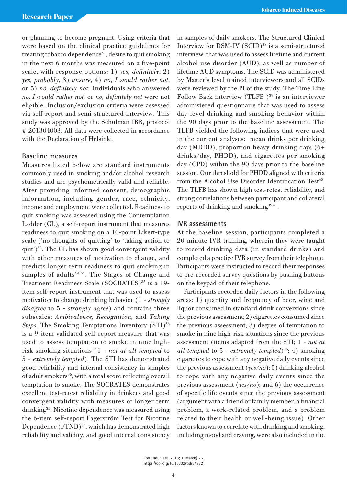or planning to become pregnant. Using criteria that were based on the clinical practice guidelines for treating tobacco dependence<sup>31</sup>, desire to quit smoking in the next 6 months was measured on a five-point scale, with response options: 1) *yes, definitely*, 2) *yes, probably*, 3) *unsure*, 4) *no*, *I would rather not*, or 5) *no, definitely not*. Individuals who answered *no, I would rather not,* or *no, definitely not* were not eligible. Inclusion/exclusion criteria were assessed via self-report and semi-structured interview. This study was approved by the Schulman IRB, protocol # 201304003. All data were collected in accordance with the Declaration of Helsinki.

## **Baseline measures**

Measures listed below are standard instruments commonly used in smoking and/or alcohol research studies and are psychometrically valid and reliable. After providing informed consent, demographic information, including gender, race, ethnicity, income and employment were collected. Readiness to quit smoking was assessed using the Contemplation Ladder (CL), a self-report instrument that measures readiness to quit smoking on a 10-point Likert-type scale ('no thoughts of quitting' to 'taking action to quit') $32$ . The CL has shown good convergent validity with other measures of motivation to change, and predicts longer term readiness to quit smoking in samples of adults $32-34$ . The Stages of Change and Treatment Readiness Scale (SOCRATES)<sup>35</sup> is a 19item self-report instrument that was used to assess motivation to change drinking behavior (1 - *strongly disagree* to 5 - *strongly agree*) and contains three subscales: *Ambivalence, Recognition,* and *Taking Steps*. The Smoking Temptations Inventory (STI)<sup>36</sup> is a 9-item validated self-report measure that was used to assess temptation to smoke in nine highrisk smoking situations (1 - *not at all tempted* to 5 - *extremely tempted*). The STI has demonstrated good reliability and internal consistency in samples of adult smokers<sup>36</sup>, with a total score reflecting overall temptation to smoke. The SOCRATES demonstrates excellent test-retest reliability in drinkers and good convergent validity with measures of longer term drinking35. Nicotine dependence was measured using the 6-item self-report Fagerström Test for Nicotine Dependence (FTND)<sup>37</sup>, which has demonstrated high reliability and validity, and good internal consistency

in samples of daily smokers. The Structured Clinical Interview for DSM-IV (SCID)<sup>38</sup> is a semi-structured interview that was used to assess lifetime and current alcohol use disorder (AUD), as well as number of lifetime AUD symptoms. The SCID was administered by Master's level trained interviewers and all SCIDs were reviewed by the PI of the study. The Time Line Follow Back interview (TLFB  $)^{39}$  is an interviewer administered questionnaire that was used to assess day-level drinking and smoking behavior within the 90 days prior to the baseline assessment. The TLFB yielded the following indices that were used in the current analyses: mean drinks per drinking day (MDDD), proportion heavy drinking days (6+ drinks/day, PHDD), and cigarettes per smoking day (CPD) within the 90 days prior to the baseline session. Our threshold for PHDD aligned with criteria from the Alcohol Use Disorder Identification Test<sup>40</sup>. The TLFB has shown high test-retest reliability, and strong correlations between participant and collateral reports of drinking and smoking<sup>39,41</sup>.

## **IVR assessments**

At the baseline session, participants completed a 20-minute IVR training, wherein they were taught to record drinking data (in standard drinks) and completed a practice IVR survey from their telephone. Participants were instructed to record their responses to pre-recorded survey questions by pushing buttons on the keypad of their telephone.

Participants recorded daily factors in the following areas: 1) quantity and frequency of beer, wine and liquor consumed in standard drink conversions since the previous assessment; 2) cigarettes consumed since the previous assessment; 3) degree of temptation to smoke in nine high-risk situations since the previous assessment (items adapted from the STI; 1 - *not at all tempted* to 5 - *extremely tempted*)36; 4) smoking cigarettes to cope with any negative daily events since the previous assessment (*yes/no*); 5) drinking alcohol to cope with any negative daily events since the previous assessment (*yes/no*); and 6) the occurrence of specific life events since the previous assessment (argument with a friend or family member, a financial problem, a work-related problem, and a problem related to their health or well-being issue). Other factors known to correlate with drinking and smoking, including mood and craving, were also included in the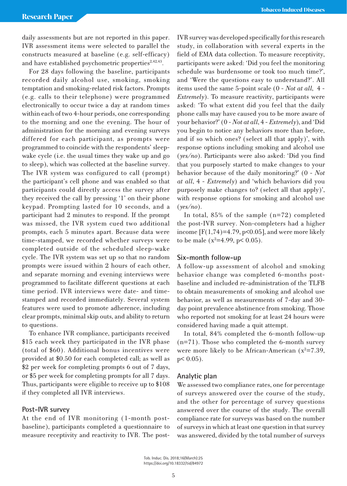daily assessments but are not reported in this paper. IVR assessment items were selected to parallel the constructs measured at baseline (e.g. self-efficacy) and have established psychometric properties $2,42,43$ .

For 28 days following the baseline, participants recorded daily alcohol use, smoking, smoking temptation and smoking-related risk factors. Prompts (e.g. calls to their telephone) were programmed electronically to occur twice a day at random times within each of two 4-hour periods, one corresponding to the morning and one the evening. The hour of administration for the morning and evening surveys differed for each participant, as prompts were programmed to coincide with the respondents' sleepwake cycle (i.e. the usual times they wake up and go to sleep), which was collected at the baseline survey. The IVR system was configured to call (prompt) the participant's cell phone and was enabled so that participants could directly access the survey after they received the call by pressing '1' on their phone keypad. Prompting lasted for 10 seconds, and a participant had 2 minutes to respond. If the prompt was missed, the IVR system cued two additional prompts, each 5 minutes apart. Because data were time-stamped, we recorded whether surveys were completed outside of the scheduled sleep-wake cycle. The IVR system was set up so that no random prompts were issued within 2 hours of each other, and separate morning and evening interviews were programmed to facilitate different questions at each time period. IVR interviews were date- and timestamped and recorded immediately. Several system features were used to promote adherence, including clear prompts, minimal skip outs, and ability to return to questions.

To enhance IVR compliance, participants received \$15 each week they participated in the IVR phase (total of \$60). Additional bonus incentives were provided at \$0.50 for each completed call; as well as \$2 per week for completing prompts 6 out of 7 days, or \$5 per week for completing prompts for all 7 days. Thus, participants were eligible to receive up to \$108 if they completed all IVR interviews.

#### **Post-IVR survey**

At the end of IVR monitoring (1-month postbaseline), participants completed a questionnaire to measure receptivity and reactivity to IVR. The postIVR survey was developed specifically for this research study, in collaboration with several experts in the field of EMA data collection. To measure receptivity, participants were asked: 'Did you feel the monitoring schedule was burdensome or took too much time?', and 'Were the questions easy to understand?'. All items used the same 5-point scale (0 - *Not at all*, 4 - *Extremely*). To measure reactivity, participants were asked: 'To what extent did you feel that the daily phone calls may have caused you to be more aware of your behavior?' (0 - *Not at all*, 4 - *Extremely*), and 'Did you begin to notice any behaviors more than before, and if so which ones? (select all that apply)', with response options including smoking and alcohol use (*yes/no*). Participants were also asked: 'Did you find that you purposely started to make changes to your behavior because of the daily monitoring?' (0 - *Not at all*, 4 - *Extremely*) and 'which behaviors did you purposely make changes to? (select all that apply)', with response options for smoking and alcohol use (*yes/no*).

In total, 85% of the sample (n=72) completed the post-IVR survey. Non-completers had a higher income  $[F(1,74)=4.79, p<0.05]$ , and were more likely to be male ( $x^2$ =4.99, p< 0.05).

#### **Six-month follow-up**

A follow-up assessment of alcohol and smoking behavior change was completed 6-months postbaseline and included re-administration of the TLFB to obtain measurements of smoking and alcohol use behavior, as well as measurements of 7-day and 30 day point prevalence abstinence from smoking. Those who reported not smoking for at least 24 hours were considered having made a quit attempt.

In total, 84% completed the 6-month follow-up (n=71). Those who completed the 6-month survey were more likely to be African-American  $(x^2=7.39,$  $p < 0.05$ ).

#### **Analytic plan**

We assessed two compliance rates, one for percentage of surveys answered over the course of the study, and the other for percentage of survey questions answered over the course of the study. The overall compliance rate for surveys was based on the number of surveys in which at least one question in that survey was answered, divided by the total number of surveys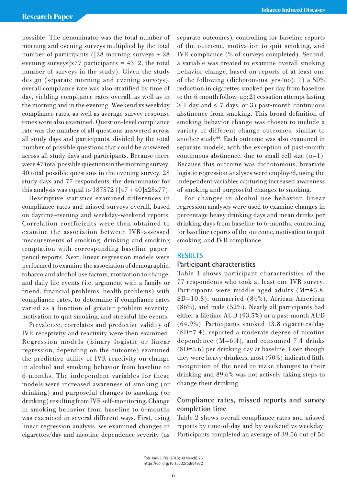possible. The denominator was the total number of morning and evening surveys multiplied by the total number of participants ([28 morning surveys + 28 evening surveys] $x77$  participants = 4312, the total number of surveys in the study). Given the study design (separate morning and evening surveys), overall compliance rate was also stratified by time of day, yielding compliance rates overall, as well as in the morning and in the evening. Weekend vs weekday compliance rates, as well as average survey response times were also examined. Question-level compliance rate was the number of all questions answered across all study days and participants, divided by the total number of possible questions that could be answered across all study days and participants. Because there were 47 total possible questions in the morning survey, 40 total possible questions in the evening survey, 28 study days and 77 respondents, the denominator for this analysis was equal to  $187572$  ( $[47 + 40]x28x77$ ).

Descriptive statistics examined differences in compliance rates and missed surveys overall, based on daytime-evening and weekday-weekend reports. Correlation coefficients were then obtained to examine the association between IVR-assessed measurements of smoking, drinking and smoking temptation with corresponding baseline paperpencil reports. Next, linear regression models were performed to examine the association of demographic, tobacco and alcohol use factors, motivation to change, and daily life events (i.e. argument with a family or friend, financial problems, health problems) with compliance rates, to determine if compliance rates varied as a function of greater problem severity, motivation to quit smoking, and stressful life events.

Prevalence, correlates and predictive validity of IVR receptivity and reactivity were then examined. Regression models (binary logistic or linear regression, depending on the outcome) examined the predictive utility of IVR reactivity on change in alcohol and smoking behavior from baseline to 6-months. The independent variables for these models were increased awareness of smoking (or drinking) and purposeful changes to smoking (or drinking) resulting from IVR self-monitoring. Change in smoking behavior from baseline to 6-months was examined in several different ways. First, using linear regression analysis, we examined changes in cigarettes/day and nicotine dependence severity (as separate outcomes), controlling for baseline reports of the outcome, motivation to quit smoking, and IVR compliance (% of surveys completed). Second, a variable was created to examine overall smoking behavior change, based on reports of at least one of the following (dichotomous, yes/no): 1) a 50% reduction in cigarettes smoked per day from baseline to the 6-month follow-up; 2) cessation attempt lasting > 1 day and < 7 days; or 3) past-month continuous abstinence from smoking. This broad definition of smoking behavior change was chosen to include a variety of different change outcomes, similar to another study<sup>44</sup>. Each outcome was also examined in separate models, with the exception of past-month continuous abstinence, due to small cell size (n=1). Because this outcome was dichotomous, bivariate logistic regression analyses were employed, using the independent variables capturing increased awareness of smoking and purposeful changes to smoking.

For changes in alcohol use behavior, linear regression analyses were used to examine changes in percentage heavy drinking days and mean drinks per drinking days from baseline to 6-months, controlling for baseline reports of the outcome, motivation to quit smoking, and IVR compliance.

## **RESULTS**

## **Participant characteristics**

Table 1 shows participant characteristics of the 77 respondents who took at least one IVR survey. Participants were middle aged adults (M=45.8, SD=10.8), unmarried (84%), African-American (86%), and male (52%). Nearly all participants had either a lifetime AUD (93.5%) or a past-month AUD (64.9%). Participants smoked 13.8 cigarettes/day (SD=7.4), reported a moderate degree of nicotine dependence (M=6.4), and consumed 7.4 drinks (SD=5.6) per drinking day at baseline. Even though they were heavy drinkers, most (90%) indicated little recognition of the need to make changes to their drinking and 89.6% was not actively taking steps to change their drinking.

## **Compliance rates, missed reports and survey completion time**

Table 2 shows overall compliance rates and missed reports by time-of-day and by weekend vs weekday. Participants completed an average of 39.56 out of 56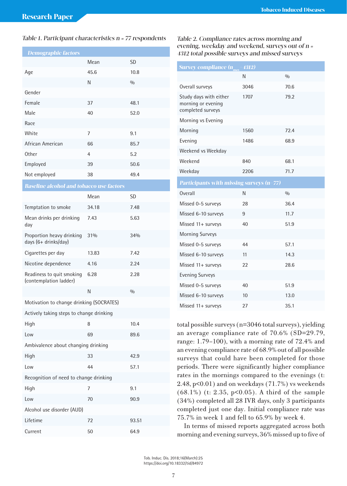#### Table 1. Participant characteristics n = 77 respondents Table 2. Compliance rates across morning and

| <b>Demographic factors</b>                          |                   |       |  |  |  |  |
|-----------------------------------------------------|-------------------|-------|--|--|--|--|
|                                                     | <b>SD</b><br>Mean |       |  |  |  |  |
| Age                                                 | 45.6              | 10.8  |  |  |  |  |
|                                                     | N                 | 0/0   |  |  |  |  |
| Gender                                              |                   |       |  |  |  |  |
| Female                                              | 37                | 48.1  |  |  |  |  |
| Male                                                | 40                | 52.0  |  |  |  |  |
| Race                                                |                   |       |  |  |  |  |
| White                                               | 7                 | 9.1   |  |  |  |  |
| African American                                    | 66                | 85.7  |  |  |  |  |
| Other                                               | 4                 | 5.2   |  |  |  |  |
| Employed                                            | 39                | 50.6  |  |  |  |  |
| Not employed                                        | 38                | 49.4  |  |  |  |  |
| <b>Baseline alcohol and tobacco use factors</b>     |                   |       |  |  |  |  |
|                                                     | Mean              | SD    |  |  |  |  |
| Temptation to smoke                                 | 34.18             | 7.48  |  |  |  |  |
| Mean drinks per drinking<br>day                     | 7.43              | 5.63  |  |  |  |  |
| Proportion heavy drinking<br>days (6+ drinks/day)   | $31\%$            | 34%   |  |  |  |  |
| Cigarettes per day                                  | 13.83             | 7.42  |  |  |  |  |
| Nicotine dependence                                 | 4.16              | 2.24  |  |  |  |  |
| Readiness to quit smoking<br>(contemplation ladder) | 6.28              | 2.28  |  |  |  |  |
|                                                     | N                 | 0/0   |  |  |  |  |
| Motivation to change drinking (SOCRATES)            |                   |       |  |  |  |  |
| Actively taking steps to change drinking            |                   |       |  |  |  |  |
| High                                                | 8                 | 10.4  |  |  |  |  |
| Low                                                 | 69                | 89.6  |  |  |  |  |
| Ambivalence about changing drinking                 |                   |       |  |  |  |  |
| High                                                | 33                | 42.9  |  |  |  |  |
| Low                                                 | 44                | 57.1  |  |  |  |  |
| Recognition of need to change drinking              |                   |       |  |  |  |  |
| High                                                | 7                 | 9.1   |  |  |  |  |
| Low                                                 | 70<br>90.9        |       |  |  |  |  |
| Alcohol use disorder (AUD)                          |                   |       |  |  |  |  |
| Lifetime                                            | 72                | 93.51 |  |  |  |  |
| Current                                             | 50                | 64.9  |  |  |  |  |

evening, weekday and weekend, surveys out of n <sup>=</sup> **Demographic factors** 4312 total possible surveys and missed surveys

| <b>Survey compliance <math>(n_{\text{max}} = 4312)</math></b>     |      |      |  |  |
|-------------------------------------------------------------------|------|------|--|--|
|                                                                   | N    | 0/0  |  |  |
| Overall surveys                                                   | 3046 | 70.6 |  |  |
| Study days with either<br>morning or evening<br>completed surveys | 1707 | 79.2 |  |  |
| Morning vs Evening                                                |      |      |  |  |
| Morning                                                           | 1560 | 72.4 |  |  |
| Evening                                                           | 1486 | 68.9 |  |  |
| Weekend vs Weekday                                                |      |      |  |  |
| Weekend                                                           | 840  | 68.1 |  |  |
| Weekday                                                           | 2206 | 71.7 |  |  |
| Participants with missing surveys $(n=77)$                        |      |      |  |  |
| Overall                                                           | N    | 0/0  |  |  |
| Missed 0-5 surveys                                                | 28   | 36.4 |  |  |
| Missed 6-10 surveys                                               | 9    | 11.7 |  |  |
| Missed 11+ surveys                                                | 40   | 51.9 |  |  |
| <b>Morning Surveys</b>                                            |      |      |  |  |
| Missed 0-5 surveys                                                | 44   | 57.1 |  |  |
| Missed 6-10 surveys                                               | 11   | 14.3 |  |  |
| Missed 11+ surveys                                                | 22   | 28.6 |  |  |
| <b>Evening Surveys</b>                                            |      |      |  |  |
| Missed 0-5 surveys                                                | 40   | 51.9 |  |  |
| Missed 6-10 surveys                                               | 10   | 13.0 |  |  |
| Missed 11+ surveys                                                | 27   | 35.1 |  |  |

total possible surveys (n=3046 total surveys), yielding an average compliance rate of 70.6% (SD=29.79, range: 1.79–100), with a morning rate of 72.4% and an evening compliance rate of 68.9% out of all possible surveys that could have been completed for those periods. There were significantly higher compliance rates in the mornings compared to the evenings (t: 2.48, p<0.01) and on weekdays (71.7%) vs weekends (68.1%) (t: 2.35, p<0.05). A third of the sample (34%) completed all 28 IVR days, only 3 participants completed just one day. Initial compliance rate was 75.7% in week 1 and fell to 65.9% by week 4.

In terms of missed reports aggregated across both morning and evening surveys, 36% missed up to five of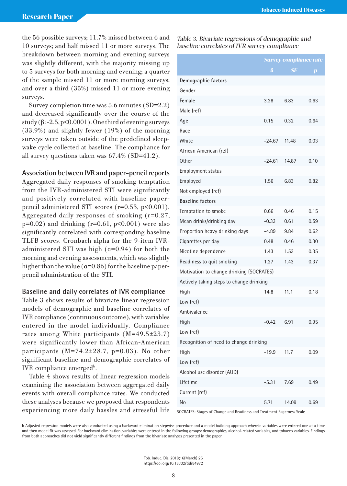the 56 possible surveys; 11.7% missed between 6 and 10 surveys; and half missed 11 or more surveys. The breakdown between morning and evening surveys was slightly different, with the majority missing up to 5 surveys for both morning and evening; a quarter of the sample missed 11 or more morning surveys; and over a third (35%) missed 11 or more evening surveys.

Survey completion time was 5.6 minutes (SD=2.2) and decreased significantly over the course of the study  $(\beta - 2.5, p < 0.0001)$ . One third of evening surveys (33.9%) and slightly fewer (19%) of the morning surveys were taken outside of the predefined sleepwake cycle collected at baseline. The compliance for all survey questions taken was 67.4% (SD=41.2).

#### **Association between IVR and paper-pencil reports**

Aggregated daily responses of smoking temptation from the IVR-administered STI were significantly and positively correlated with baseline paperpencil administered STI scores (r=0.53, p<0.001). Aggregated daily responses of smoking (r=0.27,  $p=0.02$ ) and drinking ( $r=0.61$ ,  $p<0.001$ ) were also significantly correlated with corresponding baseline TLFB scores. Cronbach alpha for the 9-item IVRadministered STI was high (α=0.94) for both the morning and evening assessments, which was slightly higher than the value ( $\alpha$ =0.86) for the baseline paperpencil administration of the STI.

#### **Baseline and daily correlates of IVR compliance**

Table 3 shows results of bivariate linear regression models of demographic and baseline correlates of IVR compliance (continuous outcome), with variables entered in the model individually. Compliance rates among White participants (M=49.5±23.7) were significantly lower than African-American participants (M=74.2±28.7, p=0.03). No other significant baseline and demographic correlates of IVR compliance emerged<sup>b</sup>.

Table 4 shows results of linear regression models examining the association between aggregated daily events with overall compliance rates. We conducted these analyses because we proposed that respondents experiencing more daily hassles and stressful life

Table 3. Bivariate regressions of demographic and baseline correlates of IVR survey compliance

|                                          | <b>Survey compliance rate</b> |           |          |  |  |  |
|------------------------------------------|-------------------------------|-----------|----------|--|--|--|
|                                          | ß                             | <b>SE</b> | $\bm{p}$ |  |  |  |
| Demographic factors                      |                               |           |          |  |  |  |
| Gender                                   |                               |           |          |  |  |  |
| Female                                   | 3.28                          | 6.83      | 0.63     |  |  |  |
| Male (ref)                               |                               |           |          |  |  |  |
| Age                                      | 0.15                          | 0.32      | 0.64     |  |  |  |
| Race                                     |                               |           |          |  |  |  |
| White                                    | $-24.67$                      | 11.48     | 0.03     |  |  |  |
| African American (ref)                   |                               |           |          |  |  |  |
| Other                                    | $-24.61$                      | 14.87     | 0.10     |  |  |  |
| <b>Employment status</b>                 |                               |           |          |  |  |  |
| Employed                                 | 1.56                          | 6.83      | 0.82     |  |  |  |
| Not employed (ref)                       |                               |           |          |  |  |  |
| <b>Baseline factors</b>                  |                               |           |          |  |  |  |
| Temptation to smoke                      | 0.66                          | 0.46      | 0.15     |  |  |  |
| Mean drinks/drinking day                 | $-0.33$                       | 0.61      | 0.59     |  |  |  |
| Proportion heavy drinking days           | $-4.89$                       | 9.84      | 0.62     |  |  |  |
| Cigarettes per day                       | 0.48                          | 0.46      | 0.30     |  |  |  |
| Nicotine dependence                      | 1.43                          | 1.53      | 0.35     |  |  |  |
| Readiness to quit smoking                | 1.27                          | 1.43      | 0.37     |  |  |  |
| Motivation to change drinking (SOCRATES) |                               |           |          |  |  |  |
| Actively taking steps to change drinking |                               |           |          |  |  |  |
| High                                     | 14.8                          | 11.1      | 0.18     |  |  |  |
| Low (ref)                                |                               |           |          |  |  |  |
| Ambivalence                              |                               |           |          |  |  |  |
| High                                     | $-0.42$                       | 6.91      | 0.95     |  |  |  |
| Low (ref)                                |                               |           |          |  |  |  |
| Recognition of need to change drinking   |                               |           |          |  |  |  |
| High                                     | $-19.9$                       | 11.7      | 0.09     |  |  |  |
| Low (ref)                                |                               |           |          |  |  |  |
| Alcohol use disorder (AUD)               |                               |           |          |  |  |  |
| Lifetime                                 | $-5.31$                       | 7.69      | 0.49     |  |  |  |
| Current (ref)                            |                               |           |          |  |  |  |
| No                                       | 5.71                          | 14.09     | 0.69     |  |  |  |

SOCRATES: Stages of Change and Readiness and Treatment Eagerness Scale

**b** Adjusted regression models were also conducted using a backward elimination stepwise procedure and a model building approach wherein variables were entered one at a time and then model fit was assessed. For backward elimination, variables were entered in the following groups: demographics, alcohol-related variables, and tobacco variables. Findings from both approaches did not yield significantly different findings from the bivariate analyses presented in the paper.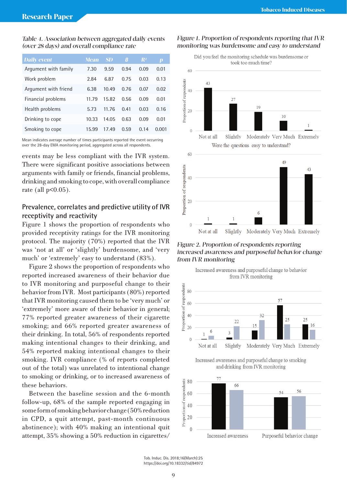#### Table 4. Association between aggregated daily events (over 28 days) and overall compliance rate

| <b>Daily event</b>   | <b>Mean</b> | <b>SD</b> | Β    | $\mathbb{R}^2$ | $\boldsymbol{p}$ |
|----------------------|-------------|-----------|------|----------------|------------------|
| Argument with family | 7.30        | 9.59      | 0.94 | 0.09           | 0.01             |
| Work problem         | 2.84        | 6.87      | 0.75 | 0.03           | 0.13             |
| Argument with friend | 6.38        | 10.49     | 0.76 | 0.07           | 0.02             |
| Financial problems   | 11.79       | 15.82     | 0.56 | 0.09           | 0.01             |
| Health problems      | 5.73        | 11.76     | 0.41 | 0.03           | 0.16             |
| Drinking to cope     | 10.33       | 14.05     | 0.63 | 0.09           | 0.01             |
| Smoking to cope      | 15.99       | 17.49     | 0.59 | 0.14           | 0.001            |

Mean indicates average number of times participants reported the event occurring over the 28-day EMA monitoring period, aggregated across all respondents.

events may be less compliant with the IVR system. There were significant positive associations between arguments with family or friends, financial problems, drinking and smoking to cope, with overall compliance rate (all  $p<0.05$ ).

## **Prevalence, correlates and predictive utility of IVR receptivity and reactivity**

Figure 1 shows the proportion of respondents who provided receptivity ratings for the IVR monitoring protocol. The majority (70%) reported that the IVR was 'not at all' or 'slightly' burdensome, and 'very much' or 'extremely' easy to understand (83%).

Figure 2 shows the proportion of respondents who reported increased awareness of their behavior due to IVR monitoring and purposeful change to their behavior from IVR. Most participants (80%) reported that IVR monitoring caused them to be 'very much' or 'extremely' more aware of their behavior in general; 77% reported greater awareness of their cigarette smoking; and 66% reported greater awareness of their drinking. In total, 56% of respondents reported making intentional changes to their drinking, and 54% reported making intentional changes to their smoking. IVR compliance (% of reports completed out of the total) was unrelated to intentional change to smoking or drinking, or to increased awareness of these behaviors.

Between the baseline session and the 6-month follow-up, 68% of the sample reported engaging in some form of smoking behavior change (50% reduction in CPD, a quit attempt, past-month continuous abstinence); with 40% making an intentional quit attempt, 35% showing a 50% reduction in cigarettes/

## Figure 1. Proportion of respondents reporting that IVR monitoring was burdensome and easy to understand



#### Figure 2. Proportion of respondents reporting increased awareness and purposeful behavior change from IVR monitoring





Increased awareness and purposeful change to smoking and drinking from IVR monitoring



Tob. Induc. Dis. 2018;16(March):25 https://doi.org/10.18332/tid/84972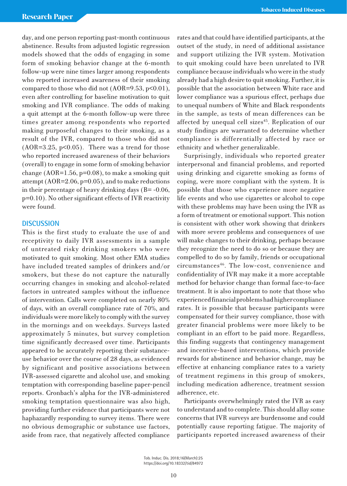day, and one person reporting past-month continuous abstinence. Results from adjusted logistic regression models showed that the odds of engaging in some form of smoking behavior change at the 6-month follow-up were nine times larger among respondents who reported increased awareness of their smoking compared to those who did not  $(AOR=9.53, p<0.01)$ , even after controlling for baseline motivation to quit smoking and IVR compliance. The odds of making a quit attempt at the 6-month follow-up were three times greater among respondents who reported making purposeful changes to their smoking, as a result of the IVR, compared to those who did not  $(AOR=3.25, p<0.05)$ . There was a trend for those who reported increased awareness of their behaviors (overall) to engage in some form of smoking behavior change  $(AOR=1.56, p=0.08)$ , to make a smoking quit attempt (AOR=2.06, p=0.05), and to make reductions in their percentage of heavy drinking days  $(B = -0.06,$ p=0.10). No other significant effects of IVR reactivity were found.

## **DISCUSSION**

This is the first study to evaluate the use of and receptivity to daily IVR assessments in a sample of untreated risky drinking smokers who were motivated to quit smoking. Most other EMA studies have included treated samples of drinkers and/or smokers, but these do not capture the naturally occurring changes in smoking and alcohol-related factors in untreated samples without the influence of intervention. Calls were completed on nearly 80% of days, with an overall compliance rate of 70%, and individuals were more likely to comply with the survey in the mornings and on weekdays. Surveys lasted approximately 5 minutes, but survey completion time significantly decreased over time. Participants appeared to be accurately reporting their substanceuse behavior over the course of 28 days, as evidenced by significant and positive associations between IVR-assessed cigarette and alcohol use, and smoking temptation with corresponding baseline paper-pencil reports. Cronbach's alpha for the IVR-administered smoking temptation questionnaire was also high, providing further evidence that participants were not haphazardly responding to survey items. There were no obvious demographic or substance use factors, aside from race, that negatively affected compliance

rates and that could have identified participants, at the outset of the study, in need of additional assistance and support utilizing the IVR system. Motivation to quit smoking could have been unrelated to IVR compliance because individuals who were in the study already had a high desire to quit smoking. Further, it is possible that the association between White race and lower compliance was a spurious effect, perhaps due to unequal numbers of White and Black respondents in the sample, as tests of mean differences can be affected by unequal cell sizes<sup>45</sup>. Replication of our study findings are warranted to determine whether compliance is differentially affected by race or ethnicity and whether generalizable.

Surprisingly, individuals who reported greater interpersonal and financial problems, and reported using drinking and cigarette smoking as forms of coping, were more compliant with the system. It is possible that those who experience more negative life events and who use cigarettes or alcohol to cope with these problems may have been using the IVR as a form of treatment or emotional support. This notion is consistent with other work showing that drinkers with more severe problems and consequences of use will make changes to their drinking, perhaps because they recognize the need to do so or because they are compelled to do so by family, friends or occupational circumstances46. The low-cost, convenience and confidentiality of IVR may make it a more acceptable method for behavior change than formal face-to-face treatment. It is also important to note that those who experienced financial problems had higher compliance rates. It is possible that because participants were compensated for their survey compliance, those with greater financial problems were more likely to be compliant in an effort to be paid more. Regardless, this finding suggests that contingency management and incentive-based interventions, which provide rewards for abstinence and behavior change, may be effective at enhancing compliance rates to a variety of treatment regimens in this group of smokers, including medication adherence, treatment session adherence, etc.

Participants overwhelmingly rated the IVR as easy to understand and to complete. This should allay some concerns that IVR surveys are burdensome and could potentially cause reporting fatigue. The majority of participants reported increased awareness of their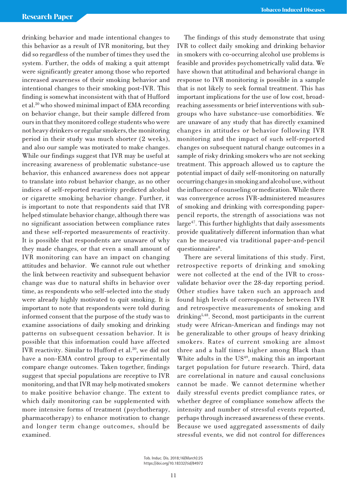drinking behavior and made intentional changes to this behavior as a result of IVR monitoring, but they did so regardless of the number of times they used the system. Further, the odds of making a quit attempt were significantly greater among those who reported increased awareness of their smoking behavior and intentional changes to their smoking post-IVR. This finding is somewhat inconsistent with that of Hufford et al.20 who showed minimal impact of EMA recording on behavior change, but their sample differed from ours in that they monitored college students who were not heavy drinkers or regular smokers, the monitoring period in their study was much shorter (2 weeks), and also our sample was motivated to make changes. While our findings suggest that IVR may be useful at increasing awareness of problematic substance-use behavior, this enhanced awareness does not appear to translate into robust behavior change, as no other indices of self-reported reactivity predicted alcohol or cigarette smoking behavior change. Further, it is important to note that respondents said that IVR helped stimulate behavior change, although there was no significant association between compliance rates and these self-reported measurements of reactivity. It is possible that respondents are unaware of why they made changes, or that even a small amount of IVR monitoring can have an impact on changing attitudes and behavior. We cannot rule out whether the link between reactivity and subsequent behavior change was due to natural shifts in behavior over time, as respondents who self-selected into the study were already highly motivated to quit smoking. It is important to note that respondents were told during informed consent that the purpose of the study was to examine associations of daily smoking and drinking patterns on subsequent cessation behavior. It is possible that this information could have affected IVR reactivity. Similar to Hufford et al.<sup>20</sup>, we did not have a non-EMA control group to experimentally compare change outcomes. Taken together, findings suggest that special populations are receptive to IVR monitoring, and that IVR may help motivated smokers to make positive behavior change. The extent to which daily monitoring can be supplemented with more intensive forms of treatment (psychotherapy, pharmacotherapy) to enhance motivation to change and longer term change outcomes, should be examined.

The findings of this study demonstrate that using IVR to collect daily smoking and drinking behavior in smokers with co-occurring alcohol use problems is feasible and provides psychometrically valid data. We have shown that attitudinal and behavioral change in response to IVR monitoring is possible in a sample that is not likely to seek formal treatment. This has important implications for the use of low cost, broadreaching assessments or brief interventions with subgroups who have substance-use comorbidities. We are unaware of any study that has directly examined changes in attitudes or behavior following IVR monitoring and the impact of such self-reported changes on subsequent natural change outcomes in a sample of risky drinking smokers who are not seeking treatment. This approach allowed us to capture the potential impact of daily self-monitoring on naturally occurring changes in smoking and alcohol use, without the influence of counseling or medication. While there was convergence across IVR-administered measures of smoking and drinking with corresponding paperpencil reports, the strength of associations was not large<sup>47</sup>. This further highlights that daily assessments provide qualitatively different information than what can be measured via traditional paper-and-pencil questionnaires<sup>8</sup>.

There are several limitations of this study. First, retrospective reports of drinking and smoking were not collected at the end of the IVR to crossvalidate behavior over the 28-day reporting period. Other studies have taken such an approach and found high levels of correspondence between IVR and retrospective measurements of smoking and drinking5,48. Second, most participants in the current study were African-American and findings may not be generalizable to other groups of heavy drinking smokers. Rates of current smoking are almost three and a half times higher among Black than White adults in the  $US<sup>49</sup>$ , making this an important target population for future research. Third, data are correlational in nature and causal conclusions cannot be made. We cannot determine whether daily stressful events predict compliance rates, or whether degree of compliance somehow affects the intensity and number of stressful events reported, perhaps through increased awareness of these events. Because we used aggregated assessments of daily stressful events, we did not control for differences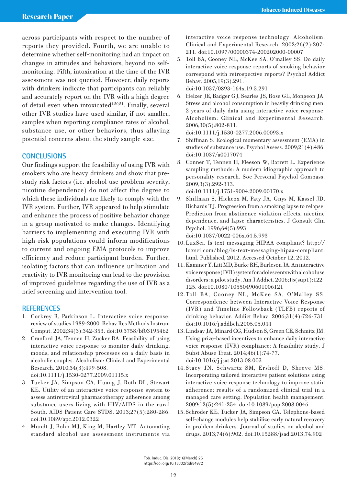across participants with respect to the number of reports they provided. Fourth, we are unable to determine whether self-monitoring had an impact on changes in attitudes and behaviors, beyond no selfmonitoring. Fifth, intoxication at the time of the IVR assessment was not queried. However, daily reports with drinkers indicate that participants can reliably and accurately report on the IVR with a high degree of detail even when intoxicated<sup>4,50,51</sup>. Finally, several other IVR studies have used similar, if not smaller, samples when reporting compliance rates of alcohol, substance use, or other behaviors, thus allaying potential concerns about the study sample size.

## **CONCLUSIONS**

Our findings support the feasibility of using IVR with smokers who are heavy drinkers and show that prestudy risk factors (i.e. alcohol use problem severity, nicotine dependence) do not affect the degree to which these individuals are likely to comply with the IVR system. Further, IVR appeared to help stimulate and enhance the process of positive behavior change in a group motivated to make changes. Identifying barriers to implementing and executing IVR with high-risk populations could inform modifications to current and ongoing EMA protocols to improve efficiency and reduce participant burden. Further, isolating factors that can influence utilization and reactivity to IVR monitoring can lead to the provision of improved guidelines regarding the use of IVR as a brief screening and intervention tool.

#### **REFERENCES**

- 1. Corkrey R, Parkinson L. Interactive voice response: review of studies 1989-2000. Behav Res Methods Instrum Comput. 2002;34(3):342-353. doi:10.3758/bf03195462
- 2. Cranford JA, Tennen H, Zucker RA. Feasibility of using interactive voice response to monitor daily drinking, moods, and relationship processes on a daily basis in alcoholic couples. Alcoholism: Clinical and Experimental Research. 2010;34(3):499-508.
	- doi:10.1111/j.1530-0277.2009.01115.x
- 3. Tucker JA, Simpson CA, Huang J, Roth DL, Stewart KE. Utility of an interactive voice response system to assess antiretroviral pharmacotherapy adherence among substance users living with HIV/AIDS in the rural South. AIDS Patient Care STDS. 2013;27(5):280-286. doi:10.1089/apc.2012.0322
- 4. Mundt J, Bohn MJ, King M, Hartley MT. Automating standard alcohol use assessment instruments via

interactive voice response technology. Alcoholism: Clinical and Experimental Research. 2002;26(2):207- 211. doi:10.1097/00000374-200202000-00007

5. Toll BA, Cooney NL, McKee SA, O'malley SS. Do daily interactive voice response reports of smoking behavior correspond with retrospective reports? Psychol Addict Behav. 2005;19(3):291.

doi:10.1037/0893-164x.19.3.291

6. Helzer JE, Badger GJ, Searles JS, Rose GL, Mongeon JA. Stress and alcohol consumption in heavily drinking men: 2 years of daily data using interactive voice response. Alcoholism: Clinical and Experimental Research. 2006;30(5):802-811.

doi:10.1111/j.1530-0277.2006.00093.x

- 7. Shiffman S. Ecological momentary assessment (EMA) in studies of substance use. Psychol Assess. 2009;21(4):486. doi:10.1037/a0017074
- 8. Conner T, Tennen H, Fleeson W, Barrett L. Experience sampling methods: A modern idiographic approach to personality research. Soc Personal Psychol Compass. 2009;3(3):292-313.

doi:10.1111/j.1751-9004.2009.00170.x

9. Shiffman S, Hickcox M, Paty JA, Gnys M, Kassel JD, Richards TJ. Progression from a smoking lapse to relapse: Prediction from abstinence violation effects, nicotine dependence, and lapse characteristics. J Consult Clin Psychol. 1996;64(5):993.

doi:10.1037/0022-006x.64.5.993

- 10. LuxSci. Is text messaging HIPAA compliant? http:// luxsci.com/blog/is-text-messaging-hipaa-compliant. html. Published, 2012. Accessed October 12, 2012.
- 11.Kaminer Y, Litt MD, Burke RH, Burleson JA. An interactive voice response (IVR) system for adolescents with alcohol use disorders: a pilot study. Am J Addict. 2006;15(sup1):122- 125. doi:10.1080/10550490601006121
- 12. Toll BA, Cooney NL, McKee SA, O'Malley SS. Correspondence between Interactive Voice Response (IVR) and Timeline Followback (TLFB) reports of drinking behavior. Addict Behav. 2006;31(4):726-731. doi:10.1016/j.addbeh.2005.05.044
- 13. Lindsay JA, Minard CG, Hudson S, Green CE, Schmitz JM. Using prize-based incentives to enhance daily interactive voice response (IVR) compliance: A feasibility study. J Subst Abuse Treat. 2014;46(1):74-77. doi:10.1016/j.jsat.2013.08.003
- 14. Stacy JN, Schwartz SM, Ershoff D, Shreve MS. Incorporating tailored interactive patient solutions using interactive voice response technology to improve statin adherence: results of a randomized clinical trial in a managed care setting. Population health management. 2009;12(5):241-254. doi:10.1089/pop.2008.0046
- 15. Schroder KE, Tucker JA, Simpson CA. Telephone-based self-change modules help stabilize early natural recovery in problem drinkers. Journal of studies on alcohol and drugs. 2013;74(6):902. doi:10.15288/jsad.2013.74.902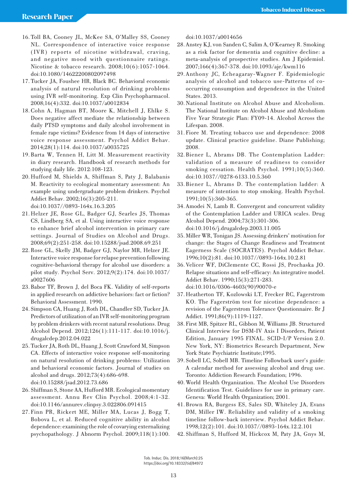- 16. Toll BA, Cooney JL, McKee SA, O'Malley SS, Cooney NL. Correspondence of interactive voice response (IVR) reports of nicotine withdrawal, craving, and negative mood with questionnaire ratings. Nicotine & tobacco research. 2008;10(6):1057-1064. doi:10.1080/14622200802097498
- 17. Tucker JA, Foushee HR, Black BC. Behavioral economic analysis of natural resolution of drinking problems using IVR self-monitoring. Exp Clin Psychopharmacol. 2008;16(4):332. doi:10.1037/a0012834
- 18.Cohn A, Hagman BT, Moore K, Mitchell J, Ehlke S. Does negative affect mediate the relationship between daily PTSD symptoms and daily alcohol involvement in female rape victims? Evidence from 14 days of interactive voice response assessment. Psychol Addict Behav. 2014;28(1):114. doi:10.1037/a0035725
- 19. Barta W, Tennen H, Litt M. Measurement reactivity in diary research. Handbook of research methods for studying daily life. 2012:108-123.
- 20. Hufford M, Shields A, Shiffman S, Paty J, Balabanis M. Reactivity to ecological momentary assessment: An example using undergraduate problem drinkers. Psychol Addict Behav. 2002;16(3):205-211. doi:10.1037//0893-164x.16.3.205
- 21. Helzer JE, Rose GL, Badger GJ, Searles JS, Thomas CS, Lindberg SA, et al. Using interactive voice response to enhance brief alcohol intervention in primary care settings. Journal of Studies on Alcohol and Drugs. 2008;69(2):251-258. doi:10.15288/jsad.2008.69.251
- 22.Rose GL, Skelly JM, Badger GJ, Naylor MR, Helzer JE. Interactive voice response for relapse prevention following cognitive-behavioral therapy for alcohol use disorders: a pilot study. Psychol Serv. 2012;9(2):174. doi:10.1037/ a0027606
- 23. Babor TF, Brown J, del Boca FK. Validity of self-reports in applied research on addictive behaviors: fact or fiction? Behavioral Assessment. 1990.
- 24. Simpson CA, Huang J, Roth DL, Chandler SD, Tucker JA. Predictors of utilization of an IVR self-monitoring program by problem drinkers with recent natural resolutions. Drug Alcohol Depend. 2012;126(1):111-117. doi:10.1016/j. drugalcdep.2012.04.022
- 25. Tucker JA, Roth DL, Huang J, Scott Crawford M, Simpson CA. Effects of interactive voice response self-monitoring on natural resolution of drinking problems: Utilization and behavioral economic factors. Journal of studies on alcohol and drugs. 2012;73(4):686-698. doi:10.15288/jsad.2012.73.686
- 26. Shiffman S, Stone AA, Hufford MR. Ecological momentary assessment. Annu Rev Clin Psychol. 2008;4:1-32. doi:10.1146/annurev.clinpsy.3.022806.091415
- 27. Finn PR, Rickert ME, Miller MA, Lucas J, Bogg T, Bobova L, et al. Reduced cognitive ability in alcohol dependence: examining the role of covarying externalizing psychopathology. J Abnorm Psychol. 2009;118(1):100.

doi:10.1037/a0014656

- 28. Anstey KJ, von Sanden C, Salim A, O'Kearney R. Smoking as a risk factor for dementia and cognitive decline: a meta-analysis of prospective studies. Am J Epidemiol. 2007;166(4):367-378. doi:10.1093/aje/kwm116
- 29. Anthony JC, Echeagaray-Wagner F. Epidemiologic analysis of alcohol and tobacco use-Patterns of cooccurring consumption and dependence in the United States. 2013.
- 30. National Institute on Alcohol Abuse and Alcoholism. The National Institute on Alcohol Abuse and Alcoholism Five Year Strategic Plan: FY09-14. Alcohol Across the Lifespan. 2008.
- 31. Fiore M. Treating tobacco use and dependence: 2008 update. Clinical practice guideline. Diane Publishing; 2008.
- 32. Biener L, Abrams DB. The Contemplation Ladder: validation of a measure of readiness to consider smoking cessation. Health Psychol. 1991;10(5):360. doi:10.1037//0278-6133.10.5.360
- 33. Biener L, Abrams D. The contemplation ladder: A measure of intention to stop smoking. Health Psychol. 1991;10(5):360-365.
- 34. Amodei N, Lamb R. Convergent and concurrent validity of the Contemplation Ladder and URICA scales. Drug Alcohol Depend. 2004;73(3):301-306. doi:10.1016/j.drugalcdep.2003.11.005
- 35.Miller WR, Tonigan JS. Assessing drinkers' motivation for change: the Stages of Change Readiness and Treatment Eagerness Scale (SOCRATES). Psychol Addict Behav. 1996;10(2):81. doi:10.1037//0893-164x.10.2.81
- 36.Velicer WF, DiClemente CC, Rossi JS, Prochaska JO. Relapse situations and self-efficacy: An integrative model. Addict Behav. 1990;15(3):271-283. doi:10.1016/0306-4603(90)90070-e
- 37. Heatherton TF, Kozlowski LT, Frecker RC, Fagerstrom KO. The Fagerström test for nicotine dependence: a revision of the Fagerstrom Tolerance Questionnaire. Br J Addict. 1991;86(9):1119-1127.
- 38. First MB, Spitzer RL, Gibbon M, Williams JB. Structured Clinical Interview for DSM-IV Axis I Disorders, Patient Edition, January 1995 FINAL. SCID-I/P Version 2.0. New York, NY: Biometrics Research Department, New York State Psychiatric Institute;1995.
- 39. Sobell LC, Sobell MB. Timeline Followback user's guide: A calendar method for assessing alcohol and drug use. Toronto: Addiction Research Foundation; 1996.
- 40. World Health Organization. The Alcohol Use Disorders Identification Test. Guidelines for use in primary care. Geneva: World Health Organization; 2001.
- 41. Brown RA, Burgess ES, Sales SD, Whiteley JA, Evans DM, Miller IW. Reliability and validity of a smoking timeline follow-back interview. Psychol Addict Behav. 1998;12(2):101. doi:10.1037//0893-164x.12.2.101
- 42. Shiffman S, Hufford M, Hickcox M, Paty JA, Gnys M,